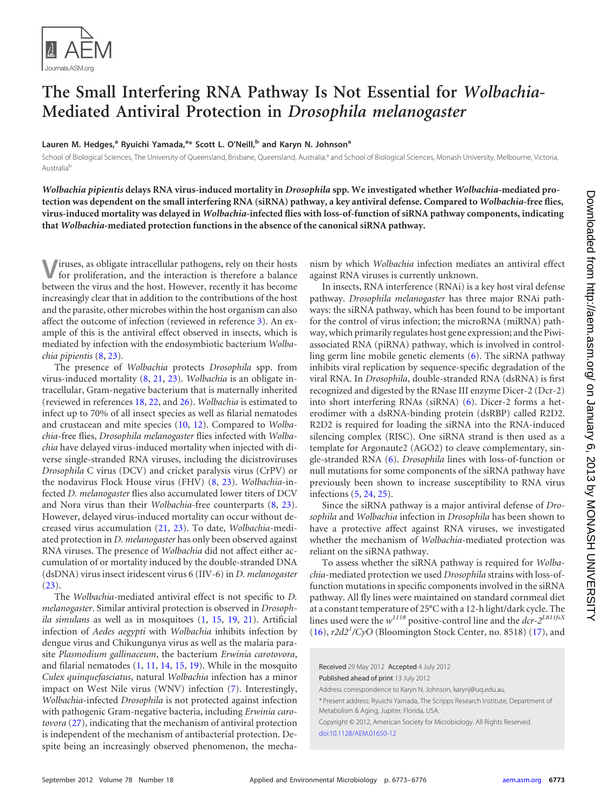

## **The Small Interfering RNA Pathway Is Not Essential for** *Wolbachia***-Mediated Antiviral Protection in** *Drosophila melanogaster*

**Lauren M. Hedges, <sup>a</sup> Ryuichi Yamada, a \* Scott L. O'Neill, <sup>b</sup> and Karyn N. Johnsona**

School of Biological Sciences, The University of Queensland, Brisbane, Queensland, Australia,<sup>a</sup> and School of Biological Sciences, Monash University, Melbourne, Victoria, Australia<sup>b</sup>

*Wolbachia pipientis* **delays RNA virus-induced mortality in** *Drosophila* **spp. We investigated whether** *Wolbachia***-mediated protection was dependent on the small interfering RNA (siRNA) pathway, a key antiviral defense. Compared to** *Wolbachia***-free flies, virus-induced mortality was delayed in** *Wolbachia***-infected flies with loss-of-function of siRNA pathway components, indicating that** *Wolbachia***-mediated protection functions in the absence of the canonical siRNA pathway.**

**V**iruses, as obligate intracellular pathogens, rely on their hosts for proliferation, and the interaction is therefore a balance between the virus and the host. However, recently it has become increasingly clear that in addition to the contributions of the host and the parasite, other microbes within the host organism can also affect the outcome of infection (reviewed in reference [3\)](#page-2-0). An example of this is the antiviral effect observed in insects, which is mediated by infection with the endosymbiotic bacterium *Wolbachia pipientis* [\(8,](#page-2-1) [23\)](#page-3-0).

The presence of *Wolbachia* protects *Drosophila* spp. from virus-induced mortality [\(8,](#page-2-1) [21,](#page-3-1) [23\)](#page-3-0). *Wolbachia* is an obligate intracellular, Gram-negative bacterium that is maternally inherited (reviewed in references [18,](#page-3-2) [22,](#page-3-3) and [26\)](#page-3-4). *Wolbachia* is estimated to infect up to 70% of all insect species as well as filarial nematodes and crustacean and mite species [\(10,](#page-2-2) [12\)](#page-2-3). Compared to *Wolbachia*-free flies, *Drosophila melanogaster* flies infected with *Wolbachia* have delayed virus-induced mortality when injected with diverse single-stranded RNA viruses, including the dicistroviruses *Drosophila* C virus (DCV) and cricket paralysis virus (CrPV) or the nodavirus Flock House virus (FHV) [\(8,](#page-2-1) [23\)](#page-3-0). *Wolbachia*-infected *D. melanogaster* flies also accumulated lower titers of DCV and Nora virus than their *Wolbachia*-free counterparts [\(8,](#page-2-1) [23\)](#page-3-0). However, delayed virus-induced mortality can occur without decreased virus accumulation [\(21,](#page-3-1) [23\)](#page-3-0). To date, *Wolbachia*-mediated protection in *D. melanogaster* has only been observed against RNA viruses. The presence of *Wolbachia* did not affect either accumulation of or mortality induced by the double-stranded DNA (dsDNA) virus insect iridescent virus 6 (IIV-6) in *D. melanogaster*  $(23)$ .

The *Wolbachia-*mediated antiviral effect is not specific to *D. melanogaster*. Similar antiviral protection is observed in *Drosophila simulans* as well as in mosquitoes [\(1,](#page-2-4) [15,](#page-2-5) [19,](#page-3-5) [21\)](#page-3-1). Artificial infection of *Aedes aegypti* with *Wolbachia* inhibits infection by dengue virus and Chikungunya virus as well as the malaria parasite *Plasmodium gallinaceum*, the bacterium *Erwinia carotovora*, and filarial nematodes [\(1,](#page-2-4) [11,](#page-2-6) [14,](#page-2-7) [15,](#page-2-5) [19\)](#page-3-5). While in the mosquito *Culex quinquefasciatus*, natural *Wolbachia* infection has a minor impact on West Nile virus (WNV) infection [\(7\)](#page-2-8). Interestingly, *Wolbachia*-infected *Drosophila* is not protected against infection with pathogenic Gram-negative bacteria, including *Erwinia carotovora* [\(27\)](#page-3-6), indicating that the mechanism of antiviral protection is independent of the mechanism of antibacterial protection. Despite being an increasingly observed phenomenon, the mecha-

nism by which *Wolbachia* infection mediates an antiviral effect against RNA viruses is currently unknown.

In insects, RNA interference (RNAi) is a key host viral defense pathway. *Drosophila melanogaster* has three major RNAi pathways: the siRNA pathway, which has been found to be important for the control of virus infection; the microRNA (miRNA) pathway, which primarily regulates host gene expression; and the Piwiassociated RNA (piRNA) pathway, which is involved in controlling germ line mobile genetic elements [\(6\)](#page-2-9). The siRNA pathway inhibits viral replication by sequence-specific degradation of the viral RNA. In *Drosophila*, double-stranded RNA (dsRNA) is first recognized and digested by the RNase III enzyme Dicer-2 (Dcr-2) into short interfering RNAs (siRNA) [\(6\)](#page-2-9). Dicer-2 forms a heterodimer with a dsRNA-binding protein (dsRBP) called R2D2. R2D2 is required for loading the siRNA into the RNA-induced silencing complex (RISC). One siRNA strand is then used as a template for Argonaute2 (AGO2) to cleave complementary, single-stranded RNA [\(6\)](#page-2-9). *Drosophila* lines with loss-of-function or null mutations for some components of the siRNA pathway have previously been shown to increase susceptibility to RNA virus infections [\(5,](#page-2-10) [24,](#page-3-7) [25\)](#page-3-8).

Since the siRNA pathway is a major antiviral defense of *Drosophila* and *Wolbachia* infection in *Drosophila* has been shown to have a protective affect against RNA viruses, we investigated whether the mechanism of *Wolbachia*-mediated protection was reliant on the siRNA pathway.

To assess whether the siRNA pathway is required for *Wolbachia*-mediated protection we used *Drosophila* strains with loss-offunction mutations in specific components involved in the siRNA pathway. All fly lines were maintained on standard cornmeal diet at a constant temperature of 25°C with a 12-h light/dark cycle. The lines used were the *w<sup>1118</sup>* positive-control line and the *dcr-2L811fsX* [\(16\)](#page-3-9), *r2d2<sup>1</sup> /CyO* (Bloomington Stock Center, no. 8518) [\(17\)](#page-3-10), and

Received 29 May 2012 Accepted 4 July 2012 Published ahead of print 13 July 2012 Address correspondence to Karyn N. Johnson, karynj@uq.edu.au. \* Present address: Ryuichi Yamada, The Scripps Research Institute, Department of Metabolism & Aging, Jupiter, Florida, USA. Copyright © 2012, American Society for Microbiology. All Rights Reserved. [doi:10.1128/AEM.01650-12](http://dx.doi.org/10.1128/AEM.01650-12)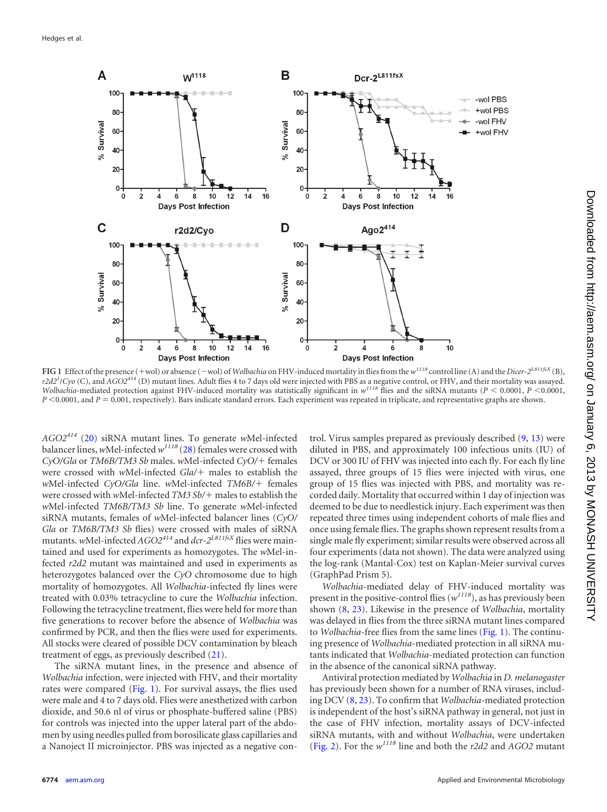

<span id="page-1-0"></span>FIG 1 Effect of the presence (+wol) or absence (-wol) of *Wolbachia* on FHV-induced mortality in flies from the  $w^{1118}$  control line (A) and the *Dicer-2<sup>L811fsX</sup>* (B), *r2d21* /*Cyo* (C), and *AGO2414* (D) mutant lines. Adult flies 4 to 7 days old were injected with PBS as a negative control, or FHV, and their mortality was assayed. *Wolbachia*-mediated protection against FHV-induced mortality was statistically significant in  $w^{1118}$  flies and the siRNA mutants (*P* < 0.0001, *P* < 0.0001, *P* <0.0001, and *P* = 0.001, respectively). Bars indicate standard errors. Each experiment was repeated in triplicate, and representative graphs are shown.

*AGO2<sup>414</sup>* [\(20\)](#page-3-11) siRNA mutant lines. To generate *w*Mel-infected balancer lines,*w*Mel-infected*w<sup>1118</sup>* [\(28\)](#page-3-12) females were crossed with *CyO/Gla* or *TM6B/TM3 Sb* males. *w*Mel-infected *CyO/* females were crossed with *w*Mel-infected *Gla*/+ males to establish the *w*Mel-infected *CyO/Gla* line. *w*Mel-infected *TM6B/* females were crossed with *wMel-infected TM3 Sb/+ males to establish the w*Mel-infected *TM6B/TM3 Sb* line. To generate *w*Mel-infected siRNA mutants, females of *w*Mel-infected balancer lines (*CyO/ Gla* or *TM6B/TM3 Sb* flies) were crossed with males of siRNA mutants. *w*Mel-infected *AGO2<sup>414</sup>* and *dcr-2L811fsX* flies were maintained and used for experiments as homozygotes. The *w*Mel-infected *r2d2* mutant was maintained and used in experiments as heterozygotes balanced over the *CyO* chromosome due to high mortality of homozygotes. All *Wolbachia*-infected fly lines were treated with 0.03% tetracycline to cure the *Wolbachia* infection. Following the tetracycline treatment, flies were held for more than five generations to recover before the absence of *Wolbachia* was confirmed by PCR, and then the flies were used for experiments. All stocks were cleared of possible DCV contamination by bleach treatment of eggs, as previously described [\(21\)](#page-3-1).

The siRNA mutant lines, in the presence and absence of *Wolbachia* infection, were injected with FHV, and their mortality rates were compared [\(Fig. 1\)](#page-1-0). For survival assays, the flies used were male and 4 to 7 days old. Flies were anesthetized with carbon dioxide, and 50.6 nl of virus or phosphate-buffered saline (PBS) for controls was injected into the upper lateral part of the abdomen by using needles pulled from borosilicate glass capillaries and a Nanoject II microinjector. PBS was injected as a negative control. Virus samples prepared as previously described [\(9,](#page-2-11) [13\)](#page-2-12) were diluted in PBS, and approximately 100 infectious units (IU) of DCV or 300 IU of FHV was injected into each fly. For each fly line assayed, three groups of 15 flies were injected with virus, one group of 15 flies was injected with PBS, and mortality was recorded daily. Mortality that occurred within 1 day of injection was deemed to be due to needlestick injury. Each experiment was then repeated three times using independent cohorts of male flies and once using female flies. The graphs shown represent results from a single male fly experiment; similar results were observed across all four experiments (data not shown). The data were analyzed using the log-rank (Mantal-Cox) test on Kaplan-Meier survival curves (GraphPad Prism 5).

*Wolbachia*-mediated delay of FHV-induced mortality was present in the positive-control flies (*w1118*), as has previously been shown [\(8,](#page-2-1) [23\)](#page-3-0). Likewise in the presence of *Wolbachia*, mortality was delayed in flies from the three siRNA mutant lines compared to *Wolbachia*-free flies from the same lines [\(Fig. 1\)](#page-1-0). The continuing presence of *Wolbachia*-mediated protection in all siRNA mutants indicated that *Wolbachia*-mediated protection can function in the absence of the canonical siRNA pathway.

Antiviral protection mediated by *Wolbachia* in *D. melanogaster* has previously been shown for a number of RNA viruses, including DCV [\(8,](#page-2-1) [23\)](#page-3-0). To confirm that *Wolbachia*-mediated protection is independent of the host's siRNA pathway in general, not just in the case of FHV infection, mortality assays of DCV-infected siRNA mutants, with and without *Wolbachia*, were undertaken [\(Fig. 2\)](#page-2-13). For the *w<sup>1118</sup>* line and both the *r2d2* and *AGO2* mutant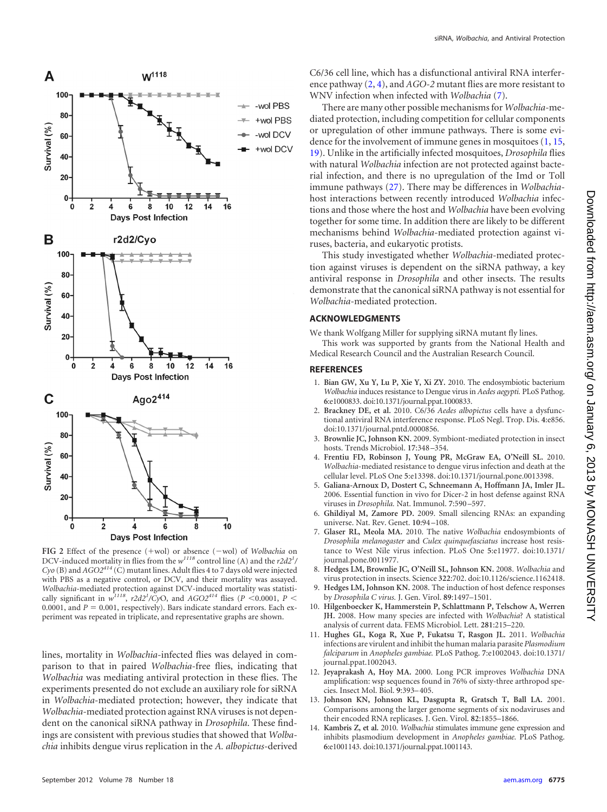<span id="page-2-5"></span>

<span id="page-2-13"></span>**FIG** 2 Effect of the presence (+wol) or absence (-wol) of *Wolbachia* on DCV-induced mortality in flies from the *w*<sup>1118</sup> control line (A) and the *r2d2<sup>1</sup>*/  $C$ yo (B) and  $AGO2^{414}\left(\rm{C}\right)$  mutant lines. Adult flies 4 to 7 days old were injected with PBS as a negative control, or DCV, and their mortality was assayed. *Wolbachia*-mediated protection against DCV-induced mortality was statistically significant in  $w^{1118}$ ,  $r2d2^1/CyO$ , and  $AGO2^{414}$  flies (*P* <0.0001, *P* < 0.0001, and  $P = 0.001$ , respectively). Bars indicate standard errors. Each experiment was repeated in triplicate, and representative graphs are shown.

lines, mortality in *Wolbachia*-infected flies was delayed in comparison to that in paired *Wolbachia*-free flies, indicating that *Wolbachia* was mediating antiviral protection in these flies. The experiments presented do not exclude an auxiliary role for siRNA in *Wolbachia*-mediated protection; however, they indicate that *Wolbachia*-mediated protection against RNA viruses is not dependent on the canonical siRNA pathway in *Drosophila*. These findings are consistent with previous studies that showed that *Wolbachia* inhibits dengue virus replication in the *A. albopictus*-derived

C6/36 cell line, which has a disfunctional antiviral RNA interference pathway [\(2,](#page-2-14) [4\)](#page-2-15), and *AGO-2* mutant flies are more resistant to WNV infection when infected with *Wolbachia* [\(7\)](#page-2-8).

There are many other possible mechanisms for *Wolbachia*-mediated protection, including competition for cellular components or upregulation of other immune pathways. There is some evidence for the involvement of immune genes in mosquitoes [\(1,](#page-2-4) [15,](#page-2-5) [19\)](#page-3-5). Unlike in the artificially infected mosquitoes, *Drosophila* flies with natural *Wolbachia* infection are not protected against bacterial infection, and there is no upregulation of the Imd or Toll immune pathways [\(27\)](#page-3-6). There may be differences in *Wolbachia*host interactions between recently introduced *Wolbachia* infections and those where the host and *Wolbachia* have been evolving together for some time. In addition there are likely to be different mechanisms behind *Wolbachia*-mediated protection against viruses, bacteria, and eukaryotic protists.

This study investigated whether *Wolbachia*-mediated protection against viruses is dependent on the siRNA pathway, a key antiviral response in *Drosophila* and other insects. The results demonstrate that the canonical siRNA pathway is not essential for *Wolbachia*-mediated protection.

## **ACKNOWLEDGMENTS**

We thank Wolfgang Miller for supplying siRNA mutant fly lines.

This work was supported by grants from the National Health and Medical Research Council and the Australian Research Council.

## <span id="page-2-4"></span>**REFERENCES**

- 1. **Bian GW, Xu Y, Lu P, Xie Y, Xi ZY.** 2010. The endosymbiotic bacterium *Wolbachia* induces resistance to Dengue virus in *Aedes aegypti.* PLoS Pathog. **6**:e1000833. doi:10.1371/journal.ppat.1000833.
- <span id="page-2-14"></span>2. **Brackney DE, et al.** 2010. C6/36 *Aedes albopictus* cells have a dysfunctional antiviral RNA interference response. PLoS Negl. Trop. Dis. **4**:e856. doi:10.1371/journal.pntd.0000856.
- <span id="page-2-0"></span>3. **Brownlie JC, Johnson KN.** 2009. Symbiont-mediated protection in insect hosts. Trends Microbiol. **17**:348 –354.
- <span id="page-2-15"></span>4. **Frentiu FD, Robinson J, Young PR, McGraw EA, O'Neill SL.** 2010. *Wolbachia*-mediated resistance to dengue virus infection and death at the cellular level. PLoS One **5**:e13398. doi:10.1371/journal.pone.0013398.
- <span id="page-2-10"></span>5. **Galiana-Arnoux D, Dostert C, Schneemann A, Hoffmann JA, Imler JL.** 2006. Essential function in vivo for Dicer-2 in host defense against RNA viruses in *Drosophila.* Nat. Immunol. **7**:590 –597.
- <span id="page-2-9"></span>6. **Ghildiyal M, Zamore PD.** 2009. Small silencing RNAs: an expanding universe. Nat. Rev. Genet. **10**:94 –108.
- <span id="page-2-8"></span>7. **Glaser RL, Meola MA.** 2010. The native *Wolbachia* endosymbionts of *Drosophila melanogaster* and *Culex quinquefasciatus* increase host resistance to West Nile virus infection. PLoS One **5**:e11977. doi:10.1371/ journal.pone.0011977.
- <span id="page-2-1"></span>8. **Hedges LM, Brownlie JC, O'Neill SL, Johnson KN.** 2008. *Wolbachia* and virus protection in insects. Science **322**:702. doi:10.1126/science.1162418.
- <span id="page-2-11"></span>9. **Hedges LM, Johnson KN.** 2008. The induction of host defence responses by *Drosophila C virus.* J. Gen. Virol. **89**:1497–1501.
- <span id="page-2-2"></span>10. **Hilgenboecker K, Hammerstein P, Schlattmann P, Telschow A, Werren JH.** 2008. How many species are infected with *Wolbachia*? A statistical analysis of current data. FEMS Microbiol. Lett. **281**:215–220.
- <span id="page-2-6"></span>11. **Hughes GL, Koga R, Xue P, Fukatsu T, Rasgon JL.** 2011. *Wolbachia* infections are virulent and inhibit the human malaria parasite *Plasmodium falciparum* in *Anopheles gambiae.* PLoS Pathog. **7**:e1002043. doi:10.1371/ journal.ppat.1002043.
- <span id="page-2-3"></span>12. **Jeyaprakash A, Hoy MA.** 2000. Long PCR improves *Wolbachia* DNA amplification: wsp sequences found in 76% of sixty-three arthropod species. Insect Mol. Biol. **9**:393–405.
- <span id="page-2-12"></span>13. **Johnson KN, Johnson KL, Dasgupta R, Gratsch T, Ball LA.** 2001. Comparisons among the larger genome segments of six nodaviruses and their encoded RNA replicases. J. Gen. Virol. **82**:1855–1866.
- <span id="page-2-7"></span>14. **Kambris Z, et al.** 2010. *Wolbachia* stimulates immune gene expression and inhibits plasmodium development in *Anopheles gambiae.* PLoS Pathog. **6**:e1001143. doi:10.1371/journal.ppat.1001143.